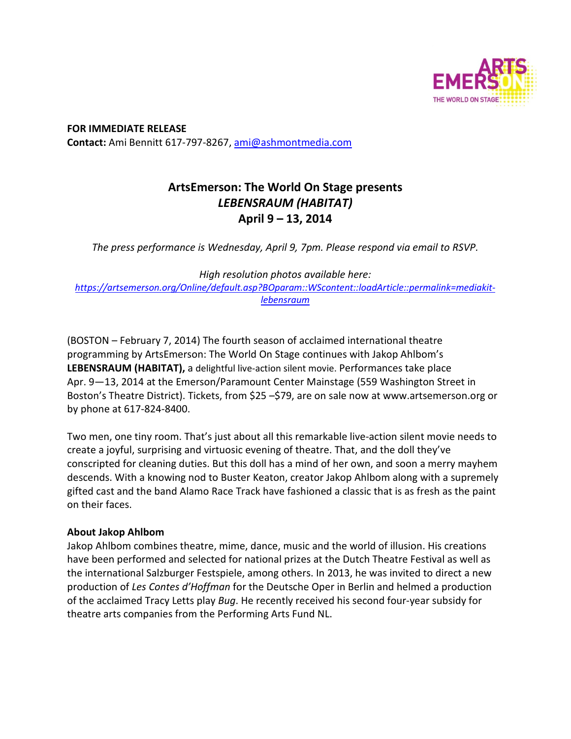

**FOR IMMEDIATE RELEASE Contact:** Ami Bennitt 617‐797‐8267, ami@ashmontmedia.com

# **ArtsEmerson: The World On Stage presents**  *LEBENSRAUM (HABITAT)* **April 9 – 13, 2014**

*The press performance is Wednesday, April 9, 7pm. Please respond via email to RSVP.* 

*High resolution photos available here: https://artsemerson.org/Online/default.asp?BOparam::WScontent::loadArticle::permalink=mediakitlebensraum*

(BOSTON – February 7, 2014) The fourth season of acclaimed international theatre programming by ArtsEmerson: The World On Stage continues with Jakop Ahlbom's **LEBENSRAUM (HABITAT),** a delightful live‐action silent movie. Performances take place Apr. 9—13, 2014 at the Emerson/Paramount Center Mainstage (559 Washington Street in Boston's Theatre District). Tickets, from \$25 –\$79, are on sale now at www.artsemerson.org or by phone at 617‐824‐8400.

Two men, one tiny room. That's just about all this remarkable live‐action silent movie needs to create a joyful, surprising and virtuosic evening of theatre. That, and the doll they've conscripted for cleaning duties. But this doll has a mind of her own, and soon a merry mayhem descends. With a knowing nod to Buster Keaton, creator Jakop Ahlbom along with a supremely gifted cast and the band Alamo Race Track have fashioned a classic that is as fresh as the paint on their faces.

## **About Jakop Ahlbom**

Jakop Ahlbom combines theatre, mime, dance, music and the world of illusion. His creations have been performed and selected for national prizes at the Dutch Theatre Festival as well as the international Salzburger Festspiele, among others. In 2013, he was invited to direct a new production of *Les Contes d'Hoffman* for the Deutsche Oper in Berlin and helmed a production of the acclaimed Tracy Letts play *Bug*. He recently received his second four‐year subsidy for theatre arts companies from the Performing Arts Fund NL.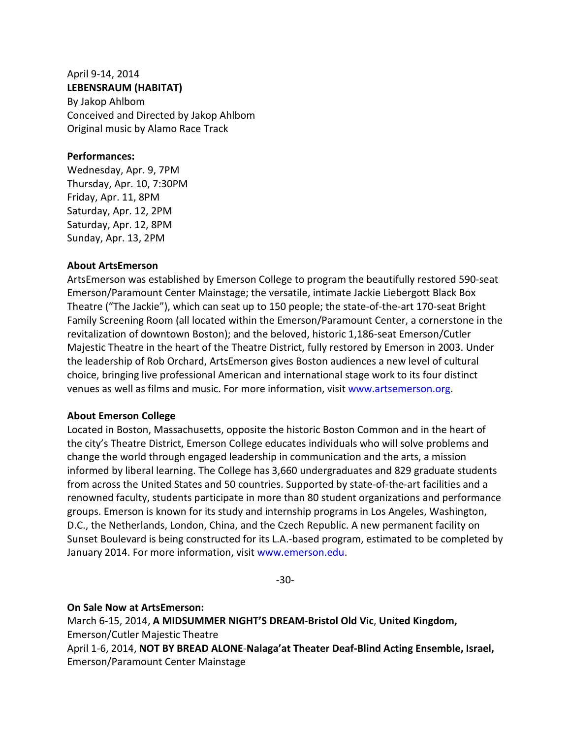#### April 9‐14, 2014 **LEBENSRAUM (HABITAT)**

By Jakop Ahlbom Conceived and Directed by Jakop Ahlbom Original music by Alamo Race Track

#### **Performances:**

Wednesday, Apr. 9, 7PM Thursday, Apr. 10, 7:30PM Friday, Apr. 11, 8PM Saturday, Apr. 12, 2PM Saturday, Apr. 12, 8PM Sunday, Apr. 13, 2PM

#### **About ArtsEmerson**

ArtsEmerson was established by Emerson College to program the beautifully restored 590‐seat Emerson/Paramount Center Mainstage; the versatile, intimate Jackie Liebergott Black Box Theatre ("The Jackie"), which can seat up to 150 people; the state‐of‐the‐art 170‐seat Bright Family Screening Room (all located within the Emerson/Paramount Center, a cornerstone in the revitalization of downtown Boston); and the beloved, historic 1,186‐seat Emerson/Cutler Majestic Theatre in the heart of the Theatre District, fully restored by Emerson in 2003. Under the leadership of Rob Orchard, ArtsEmerson gives Boston audiences a new level of cultural choice, bringing live professional American and international stage work to its four distinct venues as well as films and music. For more information, visit www.artsemerson.org.

### **About Emerson College**

Located in Boston, Massachusetts, opposite the historic Boston Common and in the heart of the city's Theatre District, Emerson College educates individuals who will solve problems and change the world through engaged leadership in communication and the arts, a mission informed by liberal learning. The College has 3,660 undergraduates and 829 graduate students from across the United States and 50 countries. Supported by state-of-the-art facilities and a renowned faculty, students participate in more than 80 student organizations and performance groups. Emerson is known for its study and internship programs in Los Angeles, Washington, D.C., the Netherlands, London, China, and the Czech Republic. A new permanent facility on Sunset Boulevard is being constructed for its L.A.‐based program, estimated to be completed by January 2014. For more information, visit www.emerson.edu.

‐30‐

### **On Sale Now at ArtsEmerson:**

March 6‐15, 2014, **A MIDSUMMER NIGHT'S DREAM**‐**Bristol Old Vic**, **United Kingdom,**  Emerson/Cutler Majestic Theatre April 1‐6, 2014, **NOT BY BREAD ALONE**‐**Nalaga'at Theater Deaf‐Blind Acting Ensemble, Israel,** 

Emerson/Paramount Center Mainstage